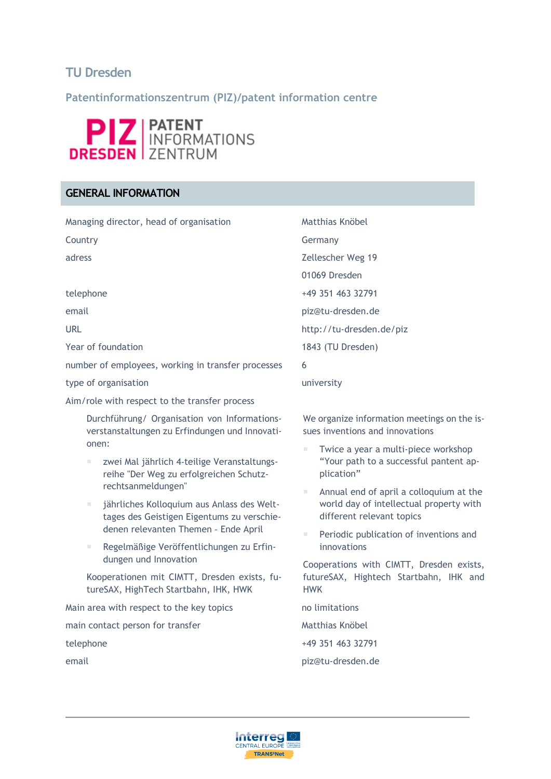# **TU Dresden**

**Patentinformationszentrum (PIZ)/patent information centre**



# **GENERAL INFORMATION**

Managing director, head of organisation Matthias Knöbel Country Germany adress Zellescher Weg 19 01069 Dresden telephone +49 351 463 32791 email piz@tu-dresden.de URL URL http://tu-dresden.de/piz Year of foundation 1843 (TU Dresden) number of employees, working in transfer processes 6 type of organisation and the state of organisation and the state of the university Aim/role with respect to the transfer process

Durchführung/ Organisation von Informationsverstanstaltungen zu Erfindungen und Innovationen:

- zwei Mal jährlich 4‐teilige Veranstaltungsreihe "Der Weg zu erfolgreichen Schutzrechtsanmeldungen"
- jährliches Kolloquium aus Anlass des Welttages des Geistigen Eigentums zu verschiedenen relevanten Themen ‐ Ende April
- Regelmäßige Veröffentlichungen zu Erfindungen und Innovation

Kooperationen mit CIMTT, Dresden exists, futureSAX, HighTech Startbahn, IHK, HWK

Main area with respect to the key topics no limitations main contact person for transfer Matthias Knöbel telephone +49 351 463 32791

We organize information meetings on the issues inventions and innovations

- Twice a year a multi-piece workshop "Your path to a successful pantent application"
- Annual end of april a colloquium at the world day of intellectual property with different relevant topics
- Periodic publication of inventions and innovations

Cooperations with CIMTT, Dresden exists, futureSAX, Hightech Startbahn, IHK and HWK

email piz@tu-dresden.de

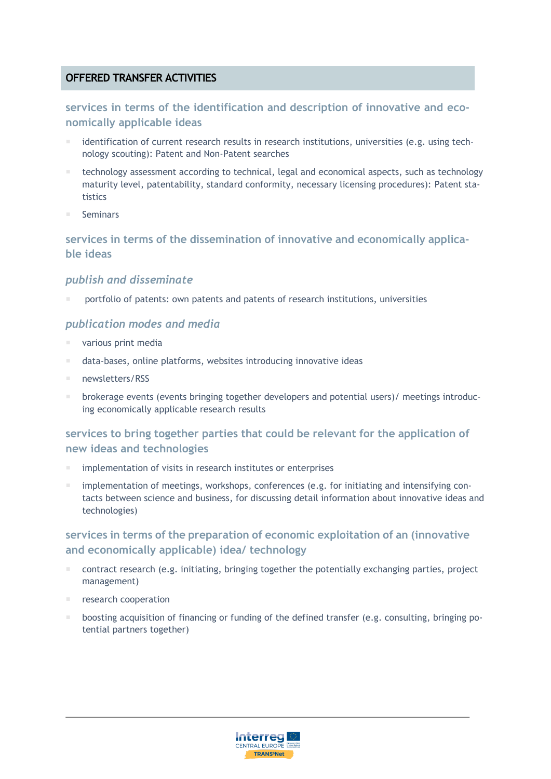# **OFFERED TRANSFER ACTIVITIES**

# **services in terms of the identification and description of innovative and economically applicable ideas**

- identification of current research results in research institutions, universities (e.g. using technology scouting): Patent and Non-Patent searches
- technology assessment according to technical, legal and economical aspects, such as technology maturity level, patentability, standard conformity, necessary licensing procedures): Patent statistics
- Seminars

# **services in terms of the dissemination of innovative and economically applicable ideas**

#### *publish and disseminate*

portfolio of patents: own patents and patents of research institutions, universities

#### *publication modes and media*

- various print media
- data-bases, online platforms, websites introducing innovative ideas
- newsletters/RSS
- brokerage events (events bringing together developers and potential users)/ meetings introducing economically applicable research results

# **services to bring together parties that could be relevant for the application of new ideas and technologies**

- implementation of visits in research institutes or enterprises
- implementation of meetings, workshops, conferences (e.g. for initiating and intensifying contacts between science and business, for discussing detail information about innovative ideas and technologies)

# **services in terms of the preparation of economic exploitation of an (innovative and economically applicable) idea/ technology**

- contract research (e.g. initiating, bringing together the potentially exchanging parties, project management)
- research cooperation
- boosting acquisition of financing or funding of the defined transfer (e.g. consulting, bringing potential partners together)

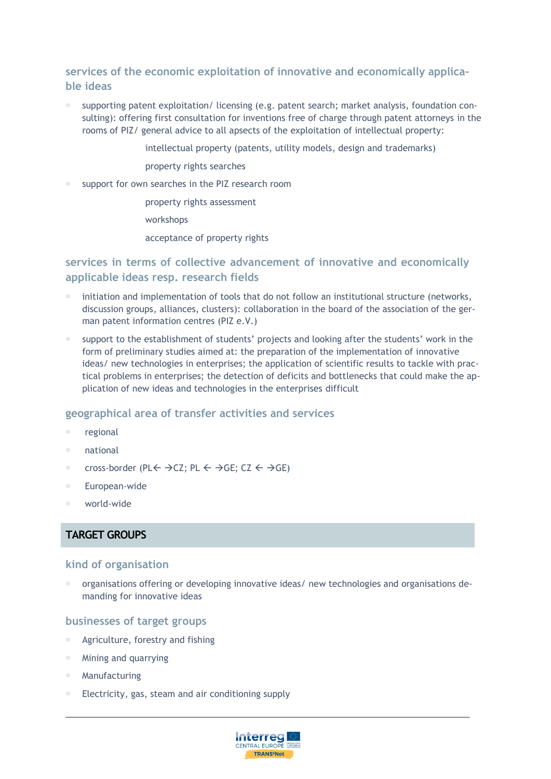# **services of the economic exploitation of innovative and economically applicable ideas**

- supporting patent exploitation/ licensing (e.g. patent search; market analysis, foundation consulting): offering first consultation for inventions free of charge through patent attorneys in the rooms of PIZ/ general advice to all apsects of the exploitation of intellectual property:
	- intellectual property (patents, utility models, design and trademarks)
	- property rights searches
- support for own searches in the PIZ research room
	- property rights assessment
	- workshops
	- acceptance of property rights

# **services in terms of collective advancement of innovative and economically applicable ideas resp. research fields**

- initiation and implementation of tools that do not follow an institutional structure (networks, discussion groups, alliances, clusters): collaboration in the board of the association of the german patent information centres (PIZ e.V.)
- support to the establishment of students' projects and looking after the students' work in the form of preliminary studies aimed at: the preparation of the implementation of innovative ideas/ new technologies in enterprises; the application of scientific results to tackle with practical problems in enterprises; the detection of deficits and bottlenecks that could make the application of new ideas and technologies in the enterprises difficult

#### **geographical area of transfer activities and services**

- **regional**
- national
- cross-border (PL $\leftarrow \rightarrow$ CZ; PL  $\leftarrow \rightarrow$ GE; CZ  $\leftarrow \rightarrow$ GE)
- European-wide
- world-wide

#### **TARGET GROUPS**

#### **kind of organisation**

 organisations offering or developing innovative ideas/ new technologies and organisations demanding for innovative ideas

#### **businesses of target groups**

- Agriculture, forestry and fishing
- Mining and quarrying
- Manufacturing
- Electricity, gas, steam and air conditioning supply